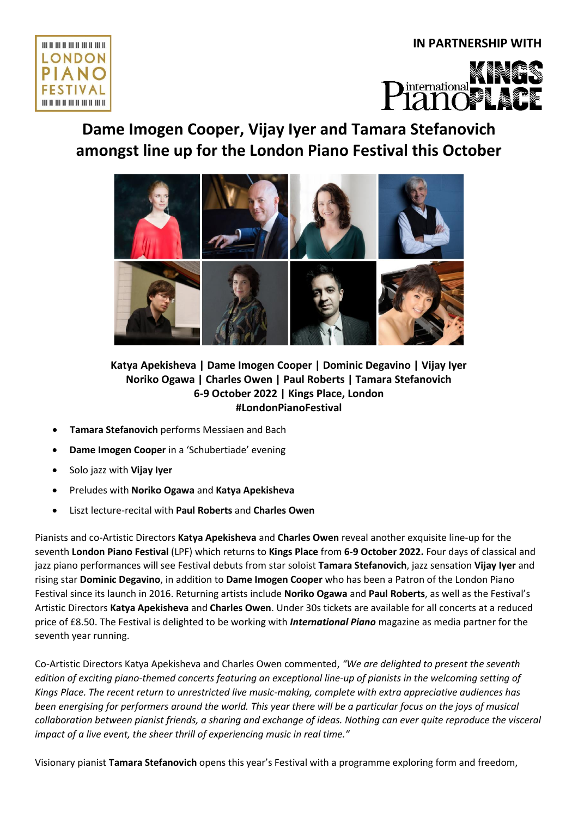# **IN PARTNERSHIP WITH**





# **Dame Imogen Cooper, Vijay Iyer and Tamara Stefanovich amongst line up for the London Piano Festival this October**



# **Katya Apekisheva | Dame Imogen Cooper | Dominic Degavino | Vijay Iyer Noriko Ogawa | Charles Owen | Paul Roberts | Tamara Stefanovich 6-9 October 2022 | Kings Place, London #LondonPianoFestival**

- **Tamara Stefanovich** performs Messiaen and Bach
- **Dame Imogen Cooper** in a 'Schubertiade' evening
- Solo jazz with **Vijay Iyer**
- Preludes with **Noriko Ogawa** and **Katya Apekisheva**
- Liszt lecture-recital with **Paul Roberts** and **Charles Owen**

Pianists and co-Artistic Directors **Katya Apekisheva** and **Charles Owen** reveal another exquisite line-up for the seventh **London Piano Festival** (LPF) which returns to **Kings Place** from **6-9 October 2022.** Four days of classical and jazz piano performances will see Festival debuts from star soloist **Tamara Stefanovich**, jazz sensation **Vijay Iyer** and rising star **Dominic Degavino**, in addition to **Dame Imogen Cooper** who has been a Patron of the London Piano Festival since its launch in 2016. Returning artists include **Noriko Ogawa** and **Paul Roberts**, as well as the Festival's Artistic Directors **Katya Apekisheva** and **Charles Owen**. Under 30s tickets are available for all concerts at a reduced price of £8.50. The Festival is delighted to be working with *International Piano* magazine as media partner for the seventh year running.

Co-Artistic Directors Katya Apekisheva and Charles Owen commented, *"We are delighted to present the seventh edition of exciting piano-themed concerts featuring an exceptional line-up of pianists in the welcoming setting of Kings Place. The recent return to unrestricted live music-making, complete with extra appreciative audiences has been energising for performers around the world. This year there will be a particular focus on the joys of musical collaboration between pianist friends, a sharing and exchange of ideas. Nothing can ever quite reproduce the visceral impact of a live event, the sheer thrill of experiencing music in real time."*

Visionary pianist **Tamara Stefanovich** opens this year's Festival with a programme exploring form and freedom,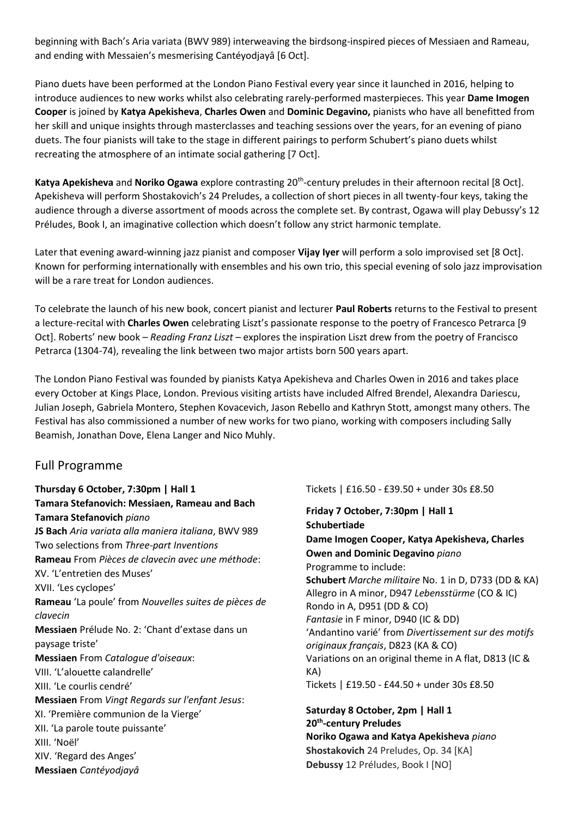beginning with Bach's Aria variata (BWV 989) interweaving the birdsong-inspired pieces of Messiaen and Rameau, and ending with Messaien's mesmerising Cantéyodjayâ [6 Oct].

Piano duets have been performed at the London Piano Festival every year since it launched in 2016, helping to introduce audiences to new works whilst also celebrating rarely-performed masterpieces. This year **Dame Imogen Cooper** is joined by **Katya Apekisheva**, **Charles Owen** and **Dominic Degavino,** pianists who have all benefitted from her skill and unique insights through masterclasses and teaching sessions over the years, for an evening of piano duets. The four pianists will take to the stage in different pairings to perform Schubert's piano duets whilst recreating the atmosphere of an intimate social gathering [7 Oct].

Katya Apekisheva and Noriko Ogawa explore contrasting 20<sup>th</sup>-century preludes in their afternoon recital [8 Oct]. Apekisheva will perform Shostakovich's 24 Preludes, a collection of short pieces in all twenty-four keys, taking the audience through a diverse assortment of moods across the complete set. By contrast, Ogawa will play Debussy's 12 Préludes, Book I, an imaginative collection which doesn't follow any strict harmonic template.

Later that evening award-winning jazz pianist and composer **Vijay Iyer** will perform a solo improvised set [8 Oct]. Known for performing internationally with ensembles and his own trio, this special evening of solo jazz improvisation will be a rare treat for London audiences.

To celebrate the launch of his new book, concert pianist and lecturer **Paul Roberts** returns to the Festival to present a lecture-recital with **Charles Owen** celebrating Liszt's passionate response to the poetry of Francesco Petrarca [9 Oct]. Roberts' new book – *Reading Franz Liszt –* explores the inspiration Liszt drew from the poetry of Francisco Petrarca (1304-74), revealing the link between two major artists born 500 years apart.

The London Piano Festival was founded by pianists Katya Apekisheva and Charles Owen in 2016 and takes place every October at Kings Place, London. Previous visiting artists have included Alfred Brendel, Alexandra Dariescu, Julian Joseph, Gabriela Montero, Stephen Kovacevich, Jason Rebello and Kathryn Stott, amongst many others. The Festival has also commissioned a number of new works for two piano, working with composers including Sally Beamish, Jonathan Dove, Elena Langer and Nico Muhly.

# Full Programme

**Thursday 6 October, 7:30pm | Hall 1 Tamara Stefanovich: Messiaen, Rameau and Bach Tamara Stefanovich** *piano* **JS Bach** *Aria variata alla maniera italiana*, BWV 989 Two selections from *Three-part Inventions* **Rameau** From *Pièces de clavecin avec une méthode*: XV. 'L'entretien des Muses' XVII. 'Les cyclopes' **Rameau** 'La poule' from *Nouvelles suites de pièces de clavecin* **Messiaen** Prélude No. 2: 'Chant d'extase dans un paysage triste' **Messiaen** From *Catalogue d'oiseaux*: VIII. 'L'alouette calandrelle' XIII. 'Le courlis cendré' **Messiaen** From *Vingt Regards sur l'enfant Jesus*: XI. 'Première communion de la Vierge' XII. 'La parole toute puissante' XIII. 'Noël' XIV. 'Regard des Anges' **Messiaen** *Cantéyodjayâ*

Tickets | £16.50 - £39.50 + under 30s £8.50

**Friday 7 October, 7:30pm | Hall 1 Schubertiade Dame Imogen Cooper, Katya Apekisheva, Charles Owen and Dominic Degavino** *piano* Programme to include: **Schubert** *Marche militaire* No. 1 in D, D733 (DD & KA) Allegro in A minor, D947 *Lebensstürme* (CO & IC) Rondo in A, D951 (DD & CO) *Fantasie* in F minor, D940 (IC & DD) 'Andantino varié' from *Divertissement sur des motifs originaux français*, D823 (KA & CO) Variations on an original theme in A flat, D813 (IC & KA) Tickets | £19.50 - £44.50 + under 30s £8.50

**Saturday 8 October, 2pm | Hall 1 20th -century Preludes Noriko Ogawa and Katya Apekisheva** *piano* **Shostakovich** 24 Preludes, Op. 34 [KA] **Debussy** 12 Préludes, Book I [NO]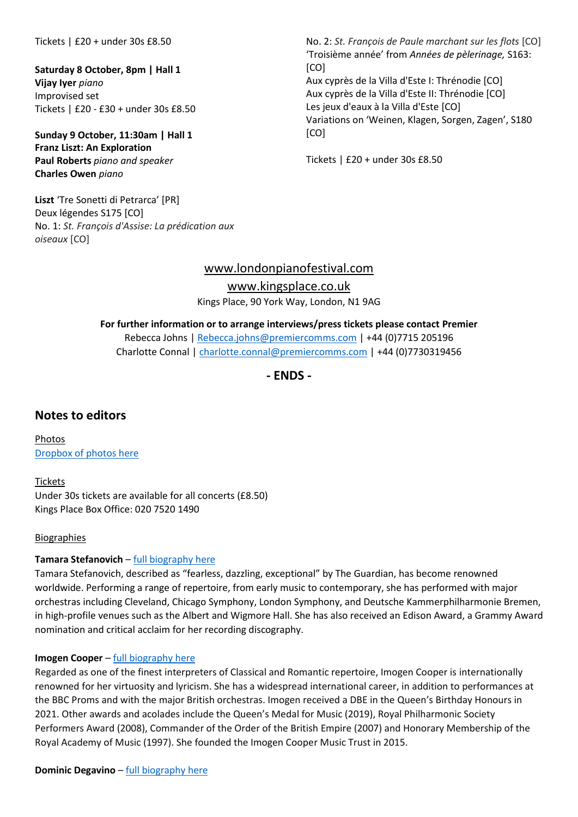Tickets | £20 + under 30s £8.50

**Saturday 8 October, 8pm | Hall 1 Vijay Iyer** *piano* Improvised set Tickets | £20 - £30 + under 30s £8.50

**Sunday 9 October, 11:30am | Hall 1 Franz Liszt: An Exploration Paul Roberts** *piano and speaker* **Charles Owen** *piano*

**Liszt** 'Tre Sonetti di Petrarca' [PR] Deux légendes S175 [CO] No. 1: *St. François d'Assise: La prédication aux oiseaux* [CO]

No. 2: *St. François de Paule marchant sur les flots* [CO] 'Troisième année' from *Années de pèlerinage,* S163: [CO] Aux cyprès de la Villa d'Este I: Thrénodie [CO] Aux cyprès de la Villa d'Este II: Thrénodie [CO] Les jeux d'eaux à la Villa d'Este [CO] Variations on 'Weinen, Klagen, Sorgen, Zagen', S180 [CO]

Tickets | £20 + under 30s £8.50

## [www.londonpianofestival.com](http://www.londonpianofestival.com/)

[www.kingsplace.co.uk](http://www.kingsplace.co.uk/)

Kings Place, 90 York Way, London, N1 9AG

#### **For further information or to arrange interviews/press tickets please contact Premier**

Rebecca Johns | [Rebecca.johns@premiercomms.com](mailto:Rebecca.johns@premiercomms.com) | +44 (0)7715 205196 Charlotte Connal | [charlotte.connal@premiercomms.com](mailto:charlotte.connal@premiercomms.com) | +44 (0)7730319456

**- ENDS -**

# **Notes to editors**

Photos [Dropbox of photos here](https://www.dropbox.com/sh/8s32jpj95yjq2a9/AAAh8yH3JEqjJ1u5B6rnSyuga?dl=0)

Tickets Under 30s tickets are available for all concerts (£8.50) Kings Place Box Office: 020 7520 1490

#### Biographies

#### **Tamara Stefanovich** – [full biography here](https://www.tamara-stefanovich.com/biography)

Tamara Stefanovich, described as "fearless, dazzling, exceptional" by The Guardian, has become renowned worldwide. Performing a range of repertoire, from early music to contemporary, she has performed with major orchestras including Cleveland, Chicago Symphony, London Symphony, and Deutsche Kammerphilharmonie Bremen, in high-profile venues such as the Albert and Wigmore Hall. She has also received an Edison Award, a Grammy Award nomination and critical acclaim for her recording discography.

#### **Imogen Cooper** – [full biography here](https://www.imogen-cooper.com/about)

Regarded as one of the finest interpreters of Classical and Romantic repertoire, Imogen Cooper is internationally renowned for her virtuosity and lyricism. She has a widespread international career, in addition to performances at the BBC Proms and with the major British orchestras. Imogen received a DBE in the Queen's Birthday Honours in 2021. Other awards and acolades include the Queen's Medal for Music (2019), Royal Philharmonic Society Performers Award (2008), Commander of the Order of the British Empire (2007) and Honorary Membership of the Royal Academy of Music (1997). She founded the Imogen Cooper Music Trust in 2015.